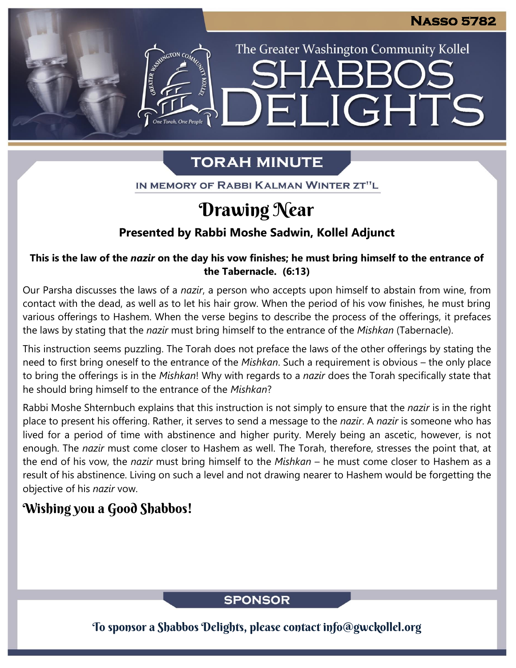The Greater Washington Community Kollel

LIGHTS

## **TORAH MINUTE**

FI

IN MEMORY OF RABBI KALMAN WINTER ZT"L

# Drawing Near

### **Presented by Rabbi Moshe Sadwin, Kollel Adjunct**

### **This is the law of the** *nazir* **on the day his vow finishes; he must bring himself to the entrance of the Tabernacle. (6:13)**

Our Parsha discusses the laws of a *nazir*, a person who accepts upon himself to abstain from wine, from contact with the dead, as well as to let his hair grow. When the period of his vow finishes, he must bring various offerings to Hashem. When the verse begins to describe the process of the offerings, it prefaces the laws by stating that the *nazir* must bring himself to the entrance of the *Mishkan* (Tabernacle).

This instruction seems puzzling. The Torah does not preface the laws of the other offerings by stating the need to first bring oneself to the entrance of the *Mishkan*. Such a requirement is obvious – the only place to bring the offerings is in the *Mishkan*! Why with regards to a *nazir* does the Torah specifically state that he should bring himself to the entrance of the *Mishkan*?

Rabbi Moshe Shternbuch explains that this instruction is not simply to ensure that the *nazir* is in the right place to present his offering. Rather, it serves to send a message to the *nazir*. A *nazir* is someone who has lived for a period of time with abstinence and higher purity. Merely being an ascetic, however, is not enough. The *nazir* must come closer to Hashem as well. The Torah, therefore, stresses the point that, at the end of his vow, the *nazir* must bring himself to the *Mishkan* – he must come closer to Hashem as a result of his abstinence. Living on such a level and not drawing nearer to Hashem would be forgetting the objective of his *nazir* vow.

### Wishing you a Good Shabbos!

### **SPONSOR**

To sponsor a Shabbos Delights, please contact info@gwckollel.org